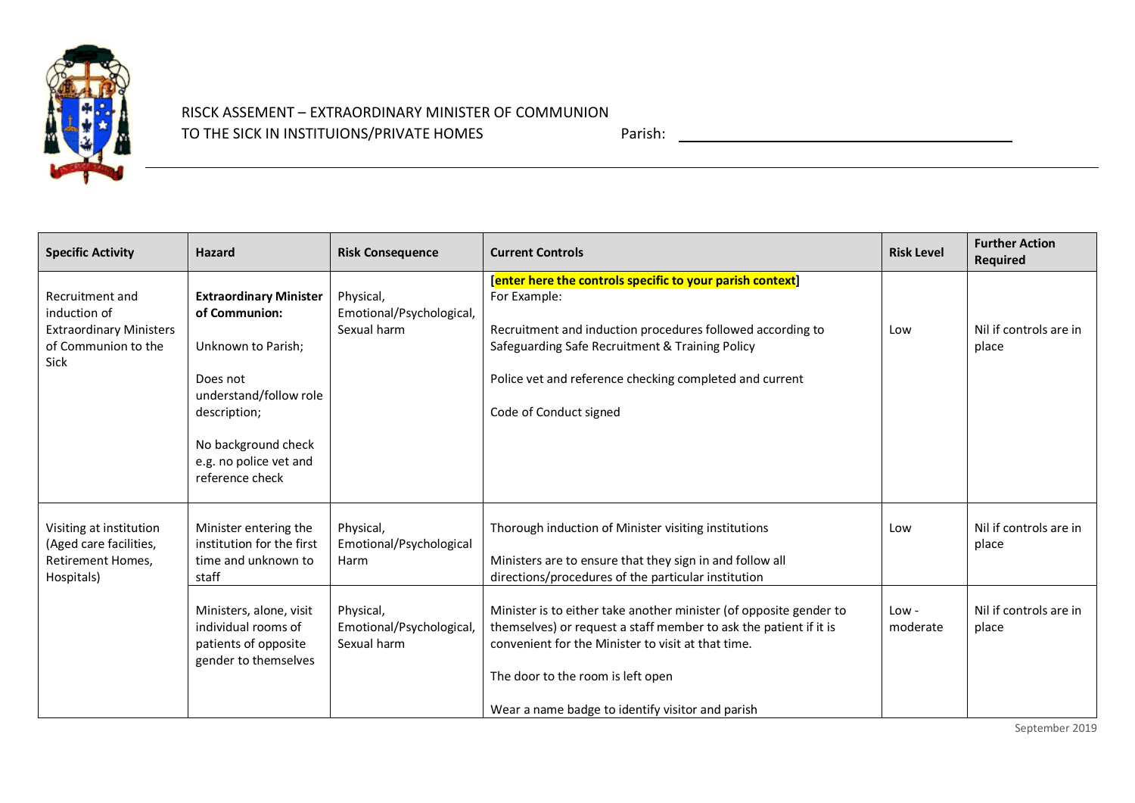

## RISCK ASSEMENT – EXTRAORDINARY MINISTER OF COMMUNION TO THE SICK IN INSTITUIONS/PRIVATE HOMES Parish:

| <b>Specific Activity</b>                                                                                | <b>Hazard</b>                                                                                              | <b>Risk Consequence</b>                              | <b>Current Controls</b>                                                                                                                                                                                                                                                                | <b>Risk Level</b> | <b>Further Action</b><br><b>Required</b> |
|---------------------------------------------------------------------------------------------------------|------------------------------------------------------------------------------------------------------------|------------------------------------------------------|----------------------------------------------------------------------------------------------------------------------------------------------------------------------------------------------------------------------------------------------------------------------------------------|-------------------|------------------------------------------|
| Recruitment and<br>induction of<br><b>Extraordinary Ministers</b><br>of Communion to the<br><b>Sick</b> | <b>Extraordinary Minister</b><br>of Communion:<br>Unknown to Parish;<br>Does not<br>understand/follow role | Physical,<br>Emotional/Psychological,<br>Sexual harm | [enter here the controls specific to your parish context]<br>For Example:<br>Recruitment and induction procedures followed according to<br>Safeguarding Safe Recruitment & Training Policy<br>Police vet and reference checking completed and current<br>Code of Conduct signed        | Low               | Nil if controls are in<br>place          |
|                                                                                                         | description;<br>No background check<br>e.g. no police vet and<br>reference check                           |                                                      |                                                                                                                                                                                                                                                                                        |                   |                                          |
| Visiting at institution<br>(Aged care facilities,<br>Retirement Homes,<br>Hospitals)                    | Minister entering the<br>institution for the first<br>time and unknown to<br>staff                         | Physical,<br>Emotional/Psychological<br>Harm         | Thorough induction of Minister visiting institutions<br>Ministers are to ensure that they sign in and follow all<br>directions/procedures of the particular institution                                                                                                                | Low               | Nil if controls are in<br>place          |
|                                                                                                         | Ministers, alone, visit<br>individual rooms of<br>patients of opposite<br>gender to themselves             | Physical,<br>Emotional/Psychological,<br>Sexual harm | Minister is to either take another minister (of opposite gender to<br>themselves) or request a staff member to ask the patient if it is<br>convenient for the Minister to visit at that time.<br>The door to the room is left open<br>Wear a name badge to identify visitor and parish | Low-<br>moderate  | Nil if controls are in<br>place          |